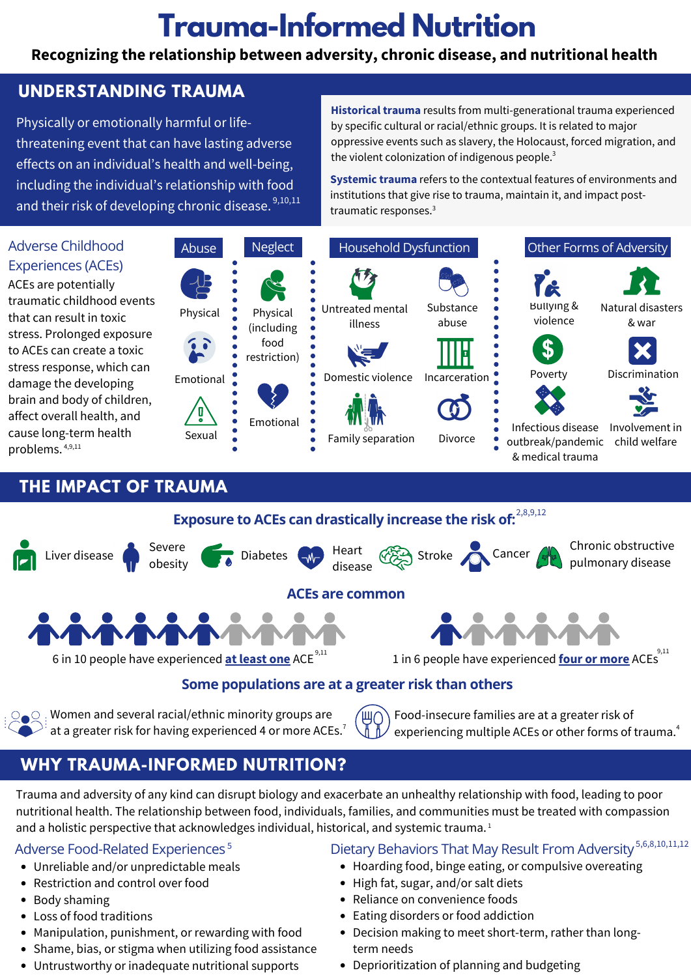# **Trauma-Informed Nutrition**

### **Recognizing the relationship between adversity, chronic disease, and nutritional health**

### **UNDERSTANDING TRAUMA**

Physically or emotionally harmful or life-effects on an individual's health and well-being,

threatening event that can have lasting adverse proppressive events such as slavery, the Holocaust, forced migration, and **Historical trauma** results from multi-generational trauma experienced Physically or emotionally harmful or life- by specific cultural or racial/ethnic groups. It is related to major oppressive events such as slavery, the Holocaust, forced migration, and the violent colonization of indigenous people. $^3$ 

**Systemic trauma** refers to the contextual features of environments and including the individual's relationship with food and their risk of developing chronic disease.  $\frac{9,10,11}{2}$  and impact post-<br>traumatic responses.<sup>3</sup> Systemic trauma refers to the contextual features of environments and institutions that give rise to trauma, maintain it, and impact post-



### **THE IMPACT OF TRAUMA**



## **WHY TRAUMA-INFORMED NUTRITION?**

 nutritional health. The relationship between food, individuals, families, and communities must be treated with compassion Trauma and adversity of any kind can disrupt biology and exacerbate an unhealthy relationship with food, leading to poor and a holistic perspective that acknowledges individual, historical, and systemic trauma.<sup>1</sup>

- 
- Restriction and control over food **Access 19 Control** Figh fat, sugar, and/or salt diets
- 
- 
- 
- Shame, bias, or stigma when utilizing food assistance term needs
- Untrustworthy or inadequate nutritional supports Deprioritization of planning and budgeting

### Adverse Food-Related Experiences 5 Dietary Behaviors That May Result From Adversity  $^{5,6,8,10,11,12}$

- Unreliable and/or unpredictable meals **•** Hoarding food, binge eating, or compulsive overeating
	-
- Body shaming **Accord Convenience foods Convenience foods Convenience foods Convenience foods**
- $\vdots$ • Loss of food traditions **East of the Contract of Science Addiction •** Eating disorders or food addiction
- Manipulation, punishment, or rewarding with food Decision making to meet short-term, rather than long-
	-